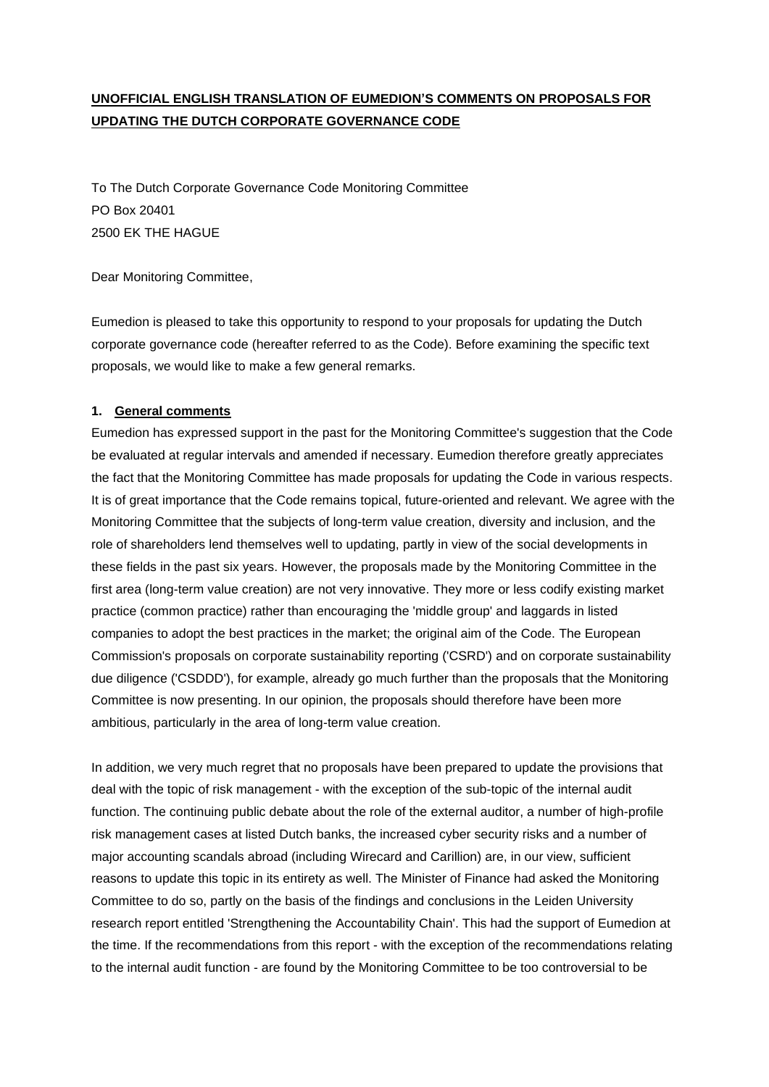# **UNOFFICIAL ENGLISH TRANSLATION OF EUMEDION'S COMMENTS ON PROPOSALS FOR UPDATING THE DUTCH CORPORATE GOVERNANCE CODE**

To The Dutch Corporate Governance Code Monitoring Committee PO Box 20401 2500 EK THE HAGUE

Dear Monitoring Committee,

Eumedion is pleased to take this opportunity to respond to your proposals for updating the Dutch corporate governance code (hereafter referred to as the Code). Before examining the specific text proposals, we would like to make a few general remarks.

# **1. General comments**

Eumedion has expressed support in the past for the Monitoring Committee's suggestion that the Code be evaluated at regular intervals and amended if necessary. Eumedion therefore greatly appreciates the fact that the Monitoring Committee has made proposals for updating the Code in various respects. It is of great importance that the Code remains topical, future-oriented and relevant. We agree with the Monitoring Committee that the subjects of long-term value creation, diversity and inclusion, and the role of shareholders lend themselves well to updating, partly in view of the social developments in these fields in the past six years. However, the proposals made by the Monitoring Committee in the first area (long-term value creation) are not very innovative. They more or less codify existing market practice (common practice) rather than encouraging the 'middle group' and laggards in listed companies to adopt the best practices in the market; the original aim of the Code. The European Commission's proposals on corporate sustainability reporting ('CSRD') and on corporate sustainability due diligence ('CSDDD'), for example, already go much further than the proposals that the Monitoring Committee is now presenting. In our opinion, the proposals should therefore have been more ambitious, particularly in the area of long-term value creation.

In addition, we very much regret that no proposals have been prepared to update the provisions that deal with the topic of risk management - with the exception of the sub-topic of the internal audit function. The continuing public debate about the role of the external auditor, a number of high-profile risk management cases at listed Dutch banks, the increased cyber security risks and a number of major accounting scandals abroad (including Wirecard and Carillion) are, in our view, sufficient reasons to update this topic in its entirety as well. The Minister of Finance had asked the Monitoring Committee to do so, partly on the basis of the findings and conclusions in the Leiden University research report entitled 'Strengthening the Accountability Chain'. This had the support of Eumedion at the time. If the recommendations from this report - with the exception of the recommendations relating to the internal audit function - are found by the Monitoring Committee to be too controversial to be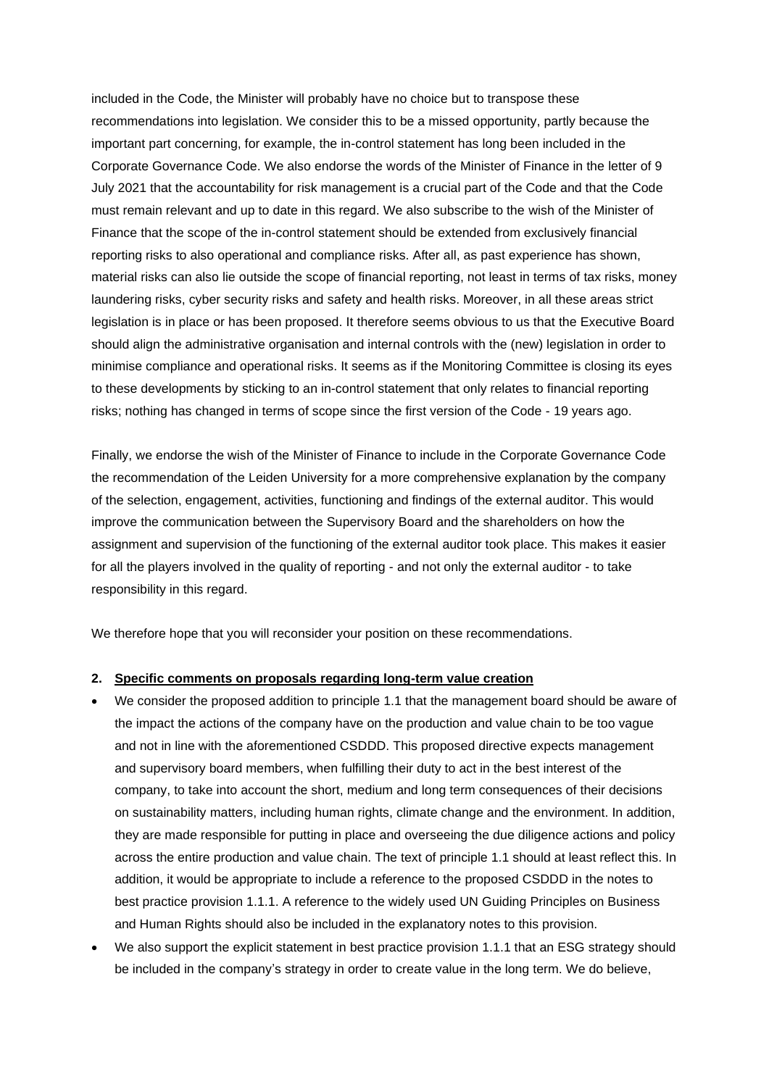included in the Code, the Minister will probably have no choice but to transpose these recommendations into legislation. We consider this to be a missed opportunity, partly because the important part concerning, for example, the in-control statement has long been included in the Corporate Governance Code. We also endorse the words of the Minister of Finance in the letter of 9 July 2021 that the accountability for risk management is a crucial part of the Code and that the Code must remain relevant and up to date in this regard. We also subscribe to the wish of the Minister of Finance that the scope of the in-control statement should be extended from exclusively financial reporting risks to also operational and compliance risks. After all, as past experience has shown, material risks can also lie outside the scope of financial reporting, not least in terms of tax risks, money laundering risks, cyber security risks and safety and health risks. Moreover, in all these areas strict legislation is in place or has been proposed. It therefore seems obvious to us that the Executive Board should align the administrative organisation and internal controls with the (new) legislation in order to minimise compliance and operational risks. It seems as if the Monitoring Committee is closing its eyes to these developments by sticking to an in-control statement that only relates to financial reporting risks; nothing has changed in terms of scope since the first version of the Code - 19 years ago.

Finally, we endorse the wish of the Minister of Finance to include in the Corporate Governance Code the recommendation of the Leiden University for a more comprehensive explanation by the company of the selection, engagement, activities, functioning and findings of the external auditor. This would improve the communication between the Supervisory Board and the shareholders on how the assignment and supervision of the functioning of the external auditor took place. This makes it easier for all the players involved in the quality of reporting - and not only the external auditor - to take responsibility in this regard.

We therefore hope that you will reconsider your position on these recommendations.

#### **2. Specific comments on proposals regarding long-term value creation**

- We consider the proposed addition to principle 1.1 that the management board should be aware of the impact the actions of the company have on the production and value chain to be too vague and not in line with the aforementioned CSDDD. This proposed directive expects management and supervisory board members, when fulfilling their duty to act in the best interest of the company, to take into account the short, medium and long term consequences of their decisions on sustainability matters, including human rights, climate change and the environment. In addition, they are made responsible for putting in place and overseeing the due diligence actions and policy across the entire production and value chain. The text of principle 1.1 should at least reflect this. In addition, it would be appropriate to include a reference to the proposed CSDDD in the notes to best practice provision 1.1.1. A reference to the widely used UN Guiding Principles on Business and Human Rights should also be included in the explanatory notes to this provision.
- We also support the explicit statement in best practice provision 1.1.1 that an ESG strategy should be included in the company's strategy in order to create value in the long term. We do believe,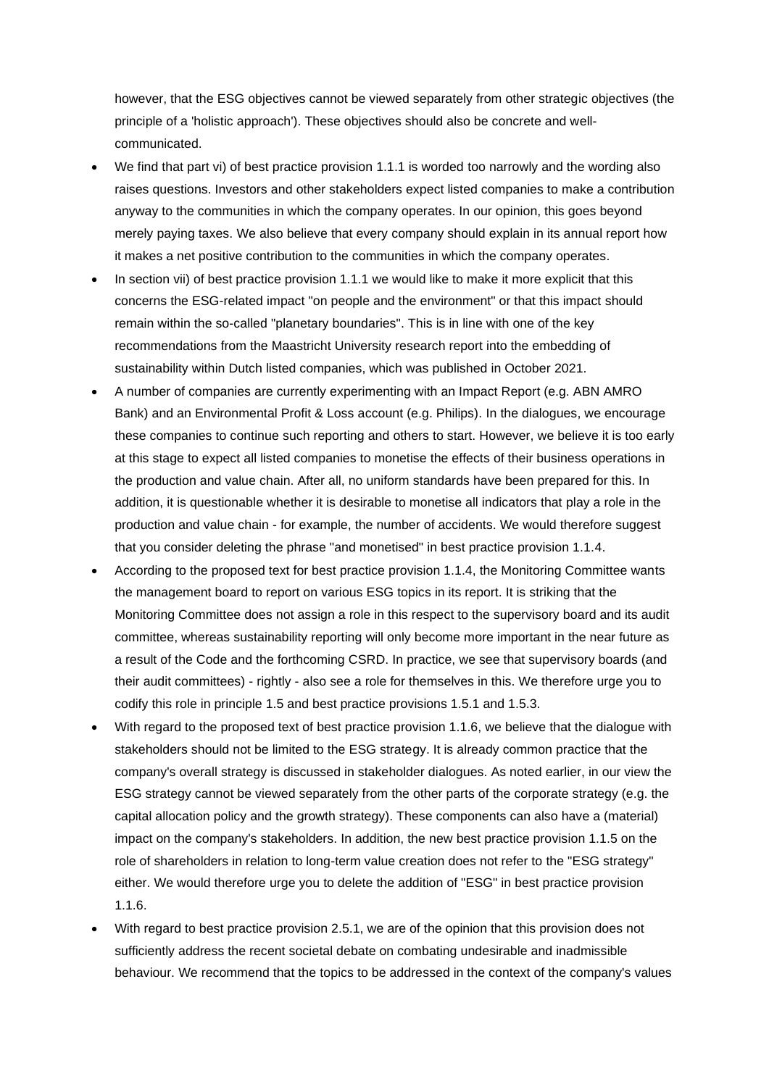however, that the ESG objectives cannot be viewed separately from other strategic objectives (the principle of a 'holistic approach'). These objectives should also be concrete and wellcommunicated.

- We find that part vi) of best practice provision 1.1.1 is worded too narrowly and the wording also raises questions. Investors and other stakeholders expect listed companies to make a contribution anyway to the communities in which the company operates. In our opinion, this goes beyond merely paying taxes. We also believe that every company should explain in its annual report how it makes a net positive contribution to the communities in which the company operates.
- In section vii) of best practice provision 1.1.1 we would like to make it more explicit that this concerns the ESG-related impact "on people and the environment" or that this impact should remain within the so-called "planetary boundaries". This is in line with one of the key recommendations from the Maastricht University research report into the embedding of sustainability within Dutch listed companies, which was published in October 2021.
- A number of companies are currently experimenting with an Impact Report (e.g. ABN AMRO Bank) and an Environmental Profit & Loss account (e.g. Philips). In the dialogues, we encourage these companies to continue such reporting and others to start. However, we believe it is too early at this stage to expect all listed companies to monetise the effects of their business operations in the production and value chain. After all, no uniform standards have been prepared for this. In addition, it is questionable whether it is desirable to monetise all indicators that play a role in the production and value chain - for example, the number of accidents. We would therefore suggest that you consider deleting the phrase "and monetised" in best practice provision 1.1.4.
- According to the proposed text for best practice provision 1.1.4, the Monitoring Committee wants the management board to report on various ESG topics in its report. It is striking that the Monitoring Committee does not assign a role in this respect to the supervisory board and its audit committee, whereas sustainability reporting will only become more important in the near future as a result of the Code and the forthcoming CSRD. In practice, we see that supervisory boards (and their audit committees) - rightly - also see a role for themselves in this. We therefore urge you to codify this role in principle 1.5 and best practice provisions 1.5.1 and 1.5.3.
- With regard to the proposed text of best practice provision 1.1.6, we believe that the dialogue with stakeholders should not be limited to the ESG strategy. It is already common practice that the company's overall strategy is discussed in stakeholder dialogues. As noted earlier, in our view the ESG strategy cannot be viewed separately from the other parts of the corporate strategy (e.g. the capital allocation policy and the growth strategy). These components can also have a (material) impact on the company's stakeholders. In addition, the new best practice provision 1.1.5 on the role of shareholders in relation to long-term value creation does not refer to the "ESG strategy" either. We would therefore urge you to delete the addition of "ESG" in best practice provision 1.1.6.
- With regard to best practice provision 2.5.1, we are of the opinion that this provision does not sufficiently address the recent societal debate on combating undesirable and inadmissible behaviour. We recommend that the topics to be addressed in the context of the company's values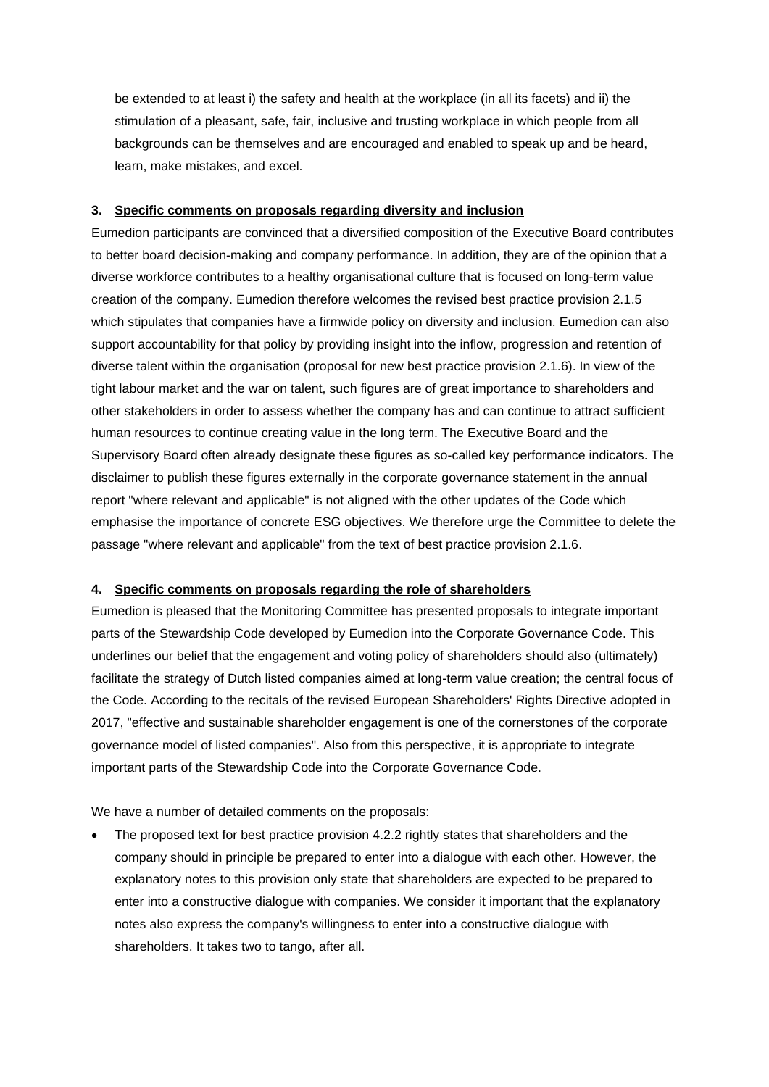be extended to at least i) the safety and health at the workplace (in all its facets) and ii) the stimulation of a pleasant, safe, fair, inclusive and trusting workplace in which people from all backgrounds can be themselves and are encouraged and enabled to speak up and be heard, learn, make mistakes, and excel.

# **3. Specific comments on proposals regarding diversity and inclusion**

Eumedion participants are convinced that a diversified composition of the Executive Board contributes to better board decision-making and company performance. In addition, they are of the opinion that a diverse workforce contributes to a healthy organisational culture that is focused on long-term value creation of the company. Eumedion therefore welcomes the revised best practice provision 2.1.5 which stipulates that companies have a firmwide policy on diversity and inclusion. Eumedion can also support accountability for that policy by providing insight into the inflow, progression and retention of diverse talent within the organisation (proposal for new best practice provision 2.1.6). In view of the tight labour market and the war on talent, such figures are of great importance to shareholders and other stakeholders in order to assess whether the company has and can continue to attract sufficient human resources to continue creating value in the long term. The Executive Board and the Supervisory Board often already designate these figures as so-called key performance indicators. The disclaimer to publish these figures externally in the corporate governance statement in the annual report "where relevant and applicable" is not aligned with the other updates of the Code which emphasise the importance of concrete ESG objectives. We therefore urge the Committee to delete the passage "where relevant and applicable" from the text of best practice provision 2.1.6.

# **4. Specific comments on proposals regarding the role of shareholders**

Eumedion is pleased that the Monitoring Committee has presented proposals to integrate important parts of the Stewardship Code developed by Eumedion into the Corporate Governance Code. This underlines our belief that the engagement and voting policy of shareholders should also (ultimately) facilitate the strategy of Dutch listed companies aimed at long-term value creation; the central focus of the Code. According to the recitals of the revised European Shareholders' Rights Directive adopted in 2017, "effective and sustainable shareholder engagement is one of the cornerstones of the corporate governance model of listed companies". Also from this perspective, it is appropriate to integrate important parts of the Stewardship Code into the Corporate Governance Code.

We have a number of detailed comments on the proposals:

The proposed text for best practice provision 4.2.2 rightly states that shareholders and the company should in principle be prepared to enter into a dialogue with each other. However, the explanatory notes to this provision only state that shareholders are expected to be prepared to enter into a constructive dialogue with companies. We consider it important that the explanatory notes also express the company's willingness to enter into a constructive dialogue with shareholders. It takes two to tango, after all.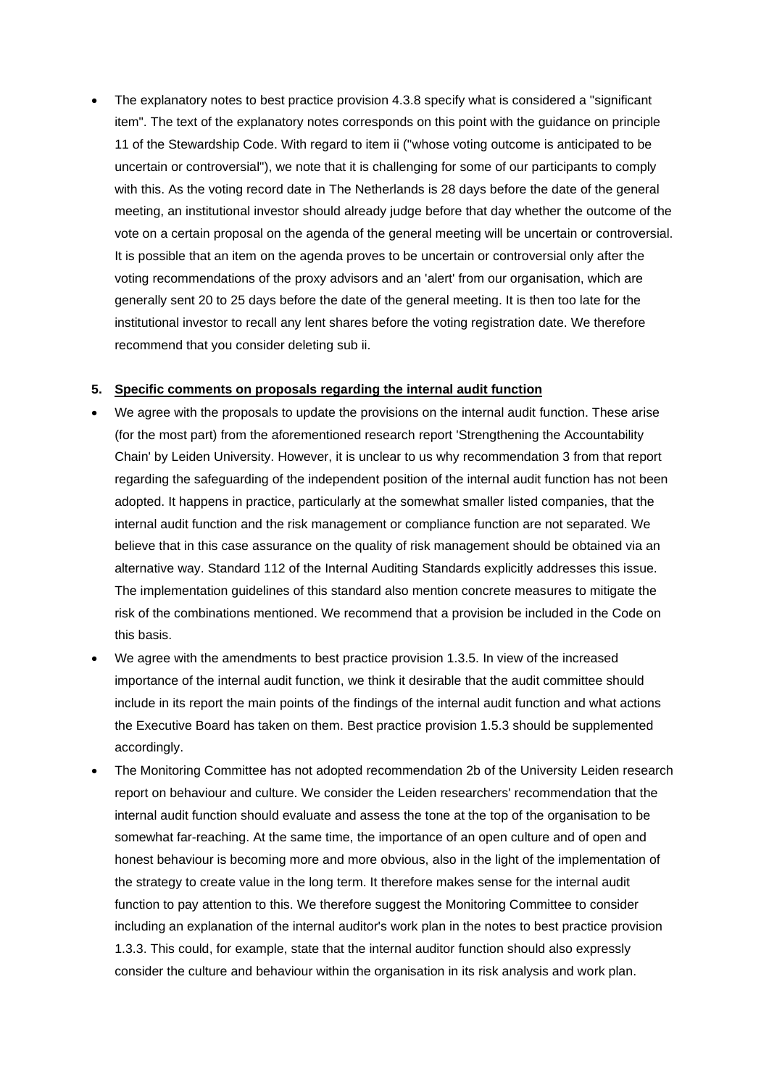The explanatory notes to best practice provision 4.3.8 specify what is considered a "significant item". The text of the explanatory notes corresponds on this point with the guidance on principle 11 of the Stewardship Code. With regard to item ii ("whose voting outcome is anticipated to be uncertain or controversial"), we note that it is challenging for some of our participants to comply with this. As the voting record date in The Netherlands is 28 days before the date of the general meeting, an institutional investor should already judge before that day whether the outcome of the vote on a certain proposal on the agenda of the general meeting will be uncertain or controversial. It is possible that an item on the agenda proves to be uncertain or controversial only after the voting recommendations of the proxy advisors and an 'alert' from our organisation, which are generally sent 20 to 25 days before the date of the general meeting. It is then too late for the institutional investor to recall any lent shares before the voting registration date. We therefore recommend that you consider deleting sub ii.

# **5. Specific comments on proposals regarding the internal audit function**

- We agree with the proposals to update the provisions on the internal audit function. These arise (for the most part) from the aforementioned research report 'Strengthening the Accountability Chain' by Leiden University. However, it is unclear to us why recommendation 3 from that report regarding the safeguarding of the independent position of the internal audit function has not been adopted. It happens in practice, particularly at the somewhat smaller listed companies, that the internal audit function and the risk management or compliance function are not separated. We believe that in this case assurance on the quality of risk management should be obtained via an alternative way. Standard 112 of the Internal Auditing Standards explicitly addresses this issue. The implementation guidelines of this standard also mention concrete measures to mitigate the risk of the combinations mentioned. We recommend that a provision be included in the Code on this basis.
- We agree with the amendments to best practice provision 1.3.5. In view of the increased importance of the internal audit function, we think it desirable that the audit committee should include in its report the main points of the findings of the internal audit function and what actions the Executive Board has taken on them. Best practice provision 1.5.3 should be supplemented accordingly.
- The Monitoring Committee has not adopted recommendation 2b of the University Leiden research report on behaviour and culture. We consider the Leiden researchers' recommendation that the internal audit function should evaluate and assess the tone at the top of the organisation to be somewhat far-reaching. At the same time, the importance of an open culture and of open and honest behaviour is becoming more and more obvious, also in the light of the implementation of the strategy to create value in the long term. It therefore makes sense for the internal audit function to pay attention to this. We therefore suggest the Monitoring Committee to consider including an explanation of the internal auditor's work plan in the notes to best practice provision 1.3.3. This could, for example, state that the internal auditor function should also expressly consider the culture and behaviour within the organisation in its risk analysis and work plan.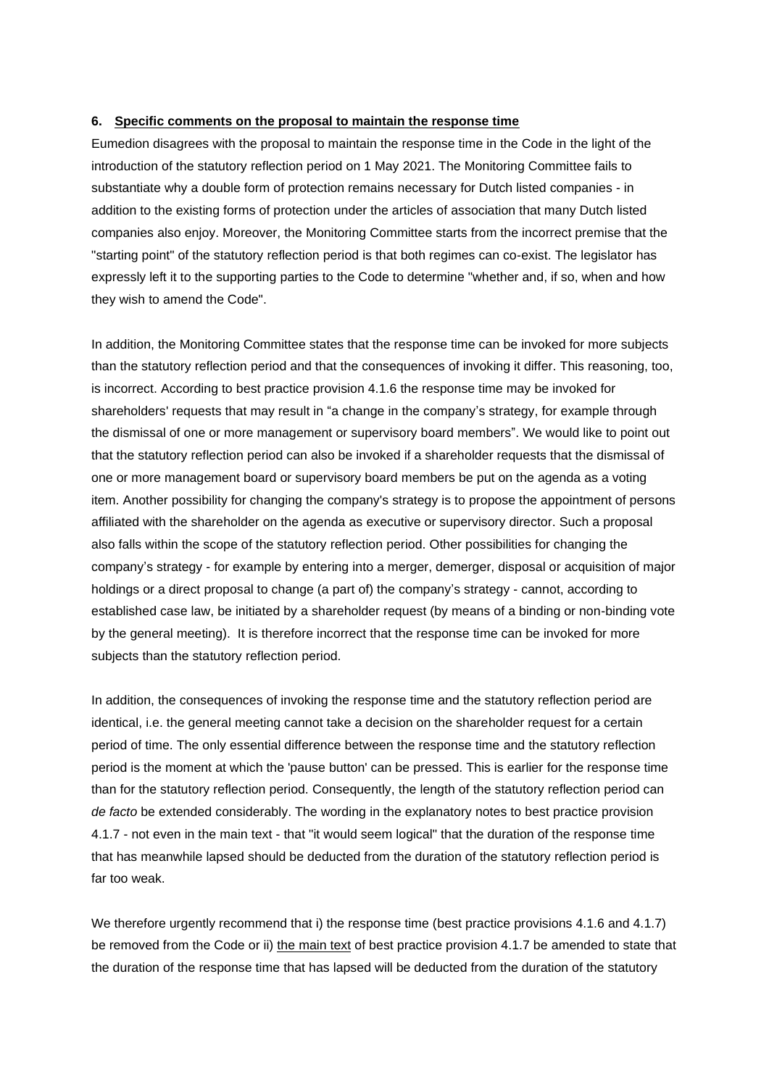### **6. Specific comments on the proposal to maintain the response time**

Eumedion disagrees with the proposal to maintain the response time in the Code in the light of the introduction of the statutory reflection period on 1 May 2021. The Monitoring Committee fails to substantiate why a double form of protection remains necessary for Dutch listed companies - in addition to the existing forms of protection under the articles of association that many Dutch listed companies also enjoy. Moreover, the Monitoring Committee starts from the incorrect premise that the "starting point" of the statutory reflection period is that both regimes can co-exist. The legislator has expressly left it to the supporting parties to the Code to determine "whether and, if so, when and how they wish to amend the Code".

In addition, the Monitoring Committee states that the response time can be invoked for more subjects than the statutory reflection period and that the consequences of invoking it differ. This reasoning, too, is incorrect. According to best practice provision 4.1.6 the response time may be invoked for shareholders' requests that may result in "a change in the company's strategy, for example through the dismissal of one or more management or supervisory board members". We would like to point out that the statutory reflection period can also be invoked if a shareholder requests that the dismissal of one or more management board or supervisory board members be put on the agenda as a voting item. Another possibility for changing the company's strategy is to propose the appointment of persons affiliated with the shareholder on the agenda as executive or supervisory director. Such a proposal also falls within the scope of the statutory reflection period. Other possibilities for changing the company's strategy - for example by entering into a merger, demerger, disposal or acquisition of major holdings or a direct proposal to change (a part of) the company's strategy - cannot, according to established case law, be initiated by a shareholder request (by means of a binding or non-binding vote by the general meeting). It is therefore incorrect that the response time can be invoked for more subjects than the statutory reflection period.

In addition, the consequences of invoking the response time and the statutory reflection period are identical, i.e. the general meeting cannot take a decision on the shareholder request for a certain period of time. The only essential difference between the response time and the statutory reflection period is the moment at which the 'pause button' can be pressed. This is earlier for the response time than for the statutory reflection period. Consequently, the length of the statutory reflection period can *de facto* be extended considerably. The wording in the explanatory notes to best practice provision 4.1.7 - not even in the main text - that "it would seem logical" that the duration of the response time that has meanwhile lapsed should be deducted from the duration of the statutory reflection period is far too weak.

We therefore urgently recommend that i) the response time (best practice provisions 4.1.6 and 4.1.7) be removed from the Code or ii) the main text of best practice provision 4.1.7 be amended to state that the duration of the response time that has lapsed will be deducted from the duration of the statutory